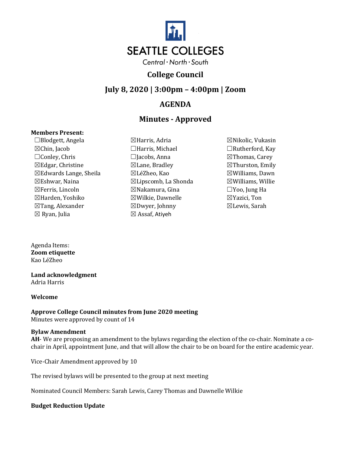

## **College Council**

### **July 8, 2020 | 3:00pm – 4:00pm | Zoom**

## **AGENDA**

# **Minutes - Approved**

### **Members Present:**

☐Blodgett, Angela ☒Harris, Adria ☒Nikolic, Vukasin ☒Chin, Jacob ☐Harris, Michael ☐Rutherford, Kay ☐Conley, Chris ☐Jacobs, Anna ☒Thomas, Carey  $\boxtimes$ Edgar, Christine  $\boxtimes$ Lane, Bradley  $\boxtimes$ Thurston, Emily ☒Edwards Lange, Sheila ☒LéZheo, Kao ☒Williams, Dawn  $\boxtimes$ Eshwar, Naina  $\boxtimes$ Lipscomb, La Shonda  $\boxtimes$ Williams, Willie ☒Ferris, Lincoln ☒Nakamura, Gina ☐Yoo, Jung Ha ☒Harden, Yoshiko ☒Wilkie, Dawnelle ☒Yazici, Ton ☒Tang, Alexander ☒Dwyer, Johnny ☒Lewis, Sarah  $\boxtimes$  Ryan, Julia  $\boxtimes$  Assaf, Atiyeh

- 
- 

Agenda Items: **Zoom etiquette** Kao LéZheo

#### **Land acknowledgment**  Adria Harris

#### **Welcome**

**Approve College Council minutes from June 2020 meeting** Minutes were approved by count of 14

#### **Bylaw Amendment**

**AH**- We are proposing an amendment to the bylaws regarding the election of the co-chair. Nominate a cochair in April, appointment June, and that will allow the chair to be on board for the entire academic year.

Vice-Chair Amendment approved by 10

The revised bylaws will be presented to the group at next meeting

Nominated Council Members: Sarah Lewis, Carey Thomas and Dawnelle Wilkie

### **Budget Reduction Update**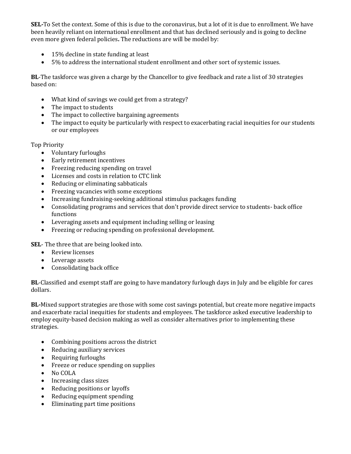**SEL-**To Set the context. Some of this is due to the coronavirus, but a lot of it is due to enrollment. We have been heavily reliant on international enrollment and that has declined seriously and is going to decline even more given federal policies**.** The reductions are will be model by:

- 15% decline in state funding at least
- 5% to address the international student enrollment and other sort of systemic issues.

**BL**-The taskforce was given a charge by the Chancellor to give feedback and rate a list of 30 strategies based on:

- What kind of savings we could get from a strategy?
- The impact to students
- The impact to collective bargaining agreements
- The impact to equity be particularly with respect to exacerbating racial inequities for our students or our employees

Top Priority

- Voluntary furloughs
- Early retirement incentives
- Freezing reducing spending on travel
- Licenses and costs in relation to CTC link
- Reducing or eliminating sabbaticals
- Freezing vacancies with some exceptions
- Increasing fundraising-seeking additional stimulus packages funding
- Consolidating programs and services that don't provide direct service to students- back office functions
- Leveraging assets and equipment including selling or leasing
- Freezing or reducing spending on professional development.

**SEL**- The three that are being looked into.

- Review licenses
- Leverage assets
- Consolidating back office

**BL**-Classified and exempt staff are going to have mandatory furlough days in July and be eligible for cares dollars.

**BL-**Mixed support strategies are those with some cost savings potential, but create more negative impacts and exacerbate racial inequities for students and employees. The taskforce asked executive leadership to employ equity-based decision making as well as consider alternatives prior to implementing these strategies.

- Combining positions across the district
- Reducing auxiliary services
- Requiring furloughs
- Freeze or reduce spending on supplies
- No COLA
- Increasing class sizes
- Reducing positions or layoffs
- Reducing equipment spending
- Eliminating part time positions